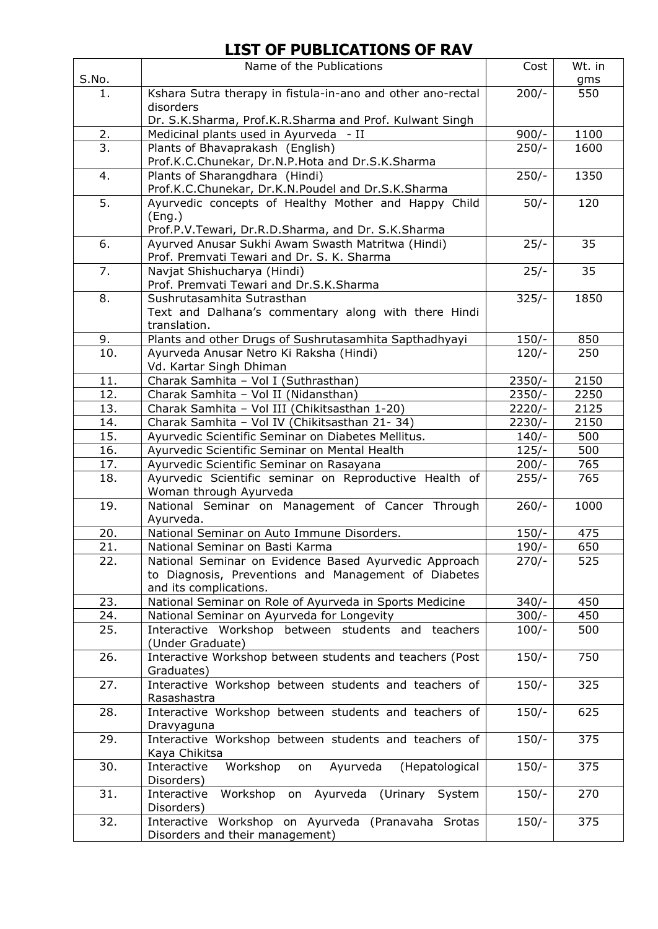## **LIST OF PUBLICATIONS OF RAV**

|            | Name of the Publications                                                                  | Cost                          | Wt. in     |
|------------|-------------------------------------------------------------------------------------------|-------------------------------|------------|
| S.No.      |                                                                                           |                               | gms        |
| 1.         | Kshara Sutra therapy in fistula-in-ano and other ano-rectal                               | $200/-$                       | 550        |
|            | disorders                                                                                 |                               |            |
|            | Dr. S.K.Sharma, Prof.K.R.Sharma and Prof. Kulwant Singh                                   |                               |            |
| 2.         | Medicinal plants used in Ayurveda - II                                                    | $900/-$                       | 1100       |
| 3.         | Plants of Bhavaprakash (English)                                                          | $250/-$                       | 1600       |
|            | Prof.K.C.Chunekar, Dr.N.P.Hota and Dr.S.K.Sharma                                          |                               |            |
| 4.         | Plants of Sharangdhara (Hindi)                                                            | $250/-$                       | 1350       |
| 5.         | Prof.K.C.Chunekar, Dr.K.N.Poudel and Dr.S.K.Sharma                                        |                               | 120        |
|            | Ayurvedic concepts of Healthy Mother and Happy Child                                      | $50/-$                        |            |
|            | (Eng.)<br>Prof.P.V.Tewari, Dr.R.D.Sharma, and Dr. S.K.Sharma                              |                               |            |
| 6.         | Ayurved Anusar Sukhi Awam Swasth Matritwa (Hindi)                                         | $25/-$                        | 35         |
|            | Prof. Premvati Tewari and Dr. S. K. Sharma                                                |                               |            |
| 7.         | Navjat Shishucharya (Hindi)                                                               | $25/-$                        | 35         |
|            | Prof. Premvati Tewari and Dr.S.K.Sharma                                                   |                               |            |
| 8.         | Sushrutasamhita Sutrasthan                                                                | $325/-$                       | 1850       |
|            | Text and Dalhana's commentary along with there Hindi                                      |                               |            |
|            | translation.                                                                              |                               |            |
| 9.         | Plants and other Drugs of Sushrutasamhita Sapthadhyayi                                    | $150/-$                       | 850        |
| 10.        | Ayurveda Anusar Netro Ki Raksha (Hindi)                                                   | $120/-$                       | 250        |
|            | Vd. Kartar Singh Dhiman                                                                   |                               |            |
| 11.        | Charak Samhita - Vol I (Suthrasthan)                                                      | $2350/-$                      | 2150       |
| 12.        | Charak Samhita - Vol II (Nidansthan)                                                      | $2350/-$                      | 2250       |
| 13.        | Charak Samhita - Vol III (Chikitsasthan 1-20)                                             | 2220/-                        | 2125       |
| 14.        | Charak Samhita - Vol IV (Chikitsasthan 21-34)                                             | $2230/-$                      | 2150       |
| 15.<br>16. | Ayurvedic Scientific Seminar on Diabetes Mellitus.                                        | $140/-$<br>$\frac{1}{2}$ 25/- | 500<br>500 |
| 17.        | Ayurvedic Scientific Seminar on Mental Health<br>Ayurvedic Scientific Seminar on Rasayana | $200/-$                       | 765        |
| 18.        | Ayurvedic Scientific seminar on Reproductive Health of                                    | $255/-$                       | 765        |
|            | Woman through Ayurveda                                                                    |                               |            |
| 19.        | National Seminar on Management of Cancer Through                                          | $260/-$                       | 1000       |
|            | Ayurveda.                                                                                 |                               |            |
| 20.        | National Seminar on Auto Immune Disorders.                                                | $150/-$                       | 475        |
| 21.        | National Seminar on Basti Karma                                                           | $190/-$                       | 650        |
| 22.        | National Seminar on Evidence Based Ayurvedic Approach                                     | $270/-$                       | 525        |
|            | to Diagnosis, Preventions and Management of Diabetes                                      |                               |            |
|            | and its complications.                                                                    |                               |            |
| 23.        | National Seminar on Role of Ayurveda in Sports Medicine                                   | $340/-$                       | 450        |
| 24.        | National Seminar on Ayurveda for Longevity                                                | $300/-$                       | 450        |
| 25.        | Interactive Workshop between students and teachers                                        | $100/-$                       | 500        |
|            | (Under Graduate)                                                                          |                               |            |
| 26.        | Interactive Workshop between students and teachers (Post                                  | $150/-$                       | 750        |
| 27.        | Graduates)<br>Interactive Workshop between students and teachers of                       | $150/-$                       | 325        |
|            | Rasashastra                                                                               |                               |            |
| 28.        | Interactive Workshop between students and teachers of                                     | $150/-$                       | 625        |
|            | Dravyaguna                                                                                |                               |            |
| 29.        | Interactive Workshop between students and teachers of                                     | $150/-$                       | 375        |
|            | Kaya Chikitsa                                                                             |                               |            |
| 30.        | Workshop<br>Ayurveda<br>Interactive<br>(Hepatological<br>on                               | $150/-$                       | 375        |
|            | Disorders)                                                                                |                               |            |
| 31.        | Workshop on Ayurveda (Urinary System<br>Interactive                                       | $150/-$                       | 270        |
|            | Disorders)                                                                                |                               |            |
| 32.        | Interactive Workshop on Ayurveda (Pranavaha Srotas                                        | $150/-$                       | 375        |
|            | Disorders and their management)                                                           |                               |            |